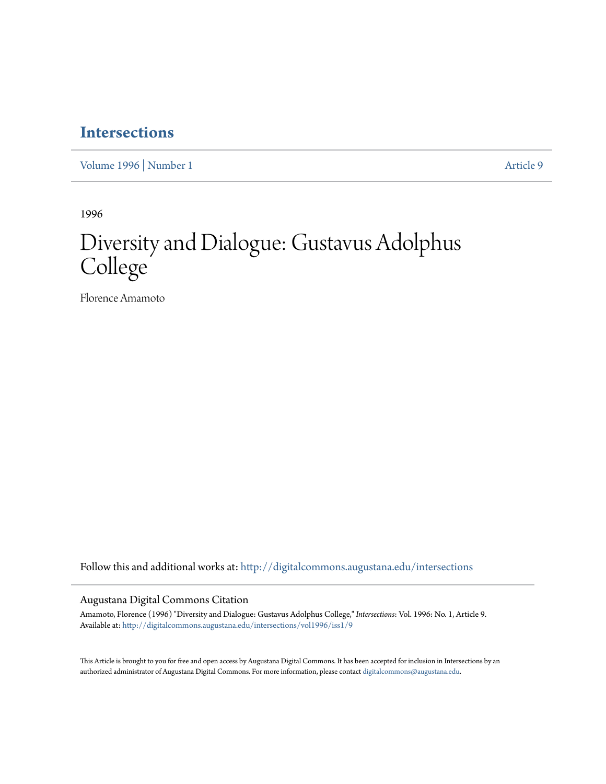## **[Intersections](http://digitalcommons.augustana.edu/intersections?utm_source=digitalcommons.augustana.edu%2Fintersections%2Fvol1996%2Fiss1%2F9&utm_medium=PDF&utm_campaign=PDFCoverPages)**

[Volume 1996](http://digitalcommons.augustana.edu/intersections/vol1996?utm_source=digitalcommons.augustana.edu%2Fintersections%2Fvol1996%2Fiss1%2F9&utm_medium=PDF&utm_campaign=PDFCoverPages) | [Number 1](http://digitalcommons.augustana.edu/intersections/vol1996/iss1?utm_source=digitalcommons.augustana.edu%2Fintersections%2Fvol1996%2Fiss1%2F9&utm_medium=PDF&utm_campaign=PDFCoverPages) [Article 9](http://digitalcommons.augustana.edu/intersections/vol1996/iss1/9?utm_source=digitalcommons.augustana.edu%2Fintersections%2Fvol1996%2Fiss1%2F9&utm_medium=PDF&utm_campaign=PDFCoverPages)

1996

# Diversity and Dialogue: Gustavus Adolphus College

Florence Amamoto

Follow this and additional works at: [http://digitalcommons.augustana.edu/intersections](http://digitalcommons.augustana.edu/intersections?utm_source=digitalcommons.augustana.edu%2Fintersections%2Fvol1996%2Fiss1%2F9&utm_medium=PDF&utm_campaign=PDFCoverPages)

### Augustana Digital Commons Citation

Amamoto, Florence (1996) "Diversity and Dialogue: Gustavus Adolphus College," *Intersections*: Vol. 1996: No. 1, Article 9. Available at: [http://digitalcommons.augustana.edu/intersections/vol1996/iss1/9](http://digitalcommons.augustana.edu/intersections/vol1996/iss1/9?utm_source=digitalcommons.augustana.edu%2Fintersections%2Fvol1996%2Fiss1%2F9&utm_medium=PDF&utm_campaign=PDFCoverPages)

This Article is brought to you for free and open access by Augustana Digital Commons. It has been accepted for inclusion in Intersections by an authorized administrator of Augustana Digital Commons. For more information, please contact [digitalcommons@augustana.edu.](mailto:digitalcommons@augustana.edu)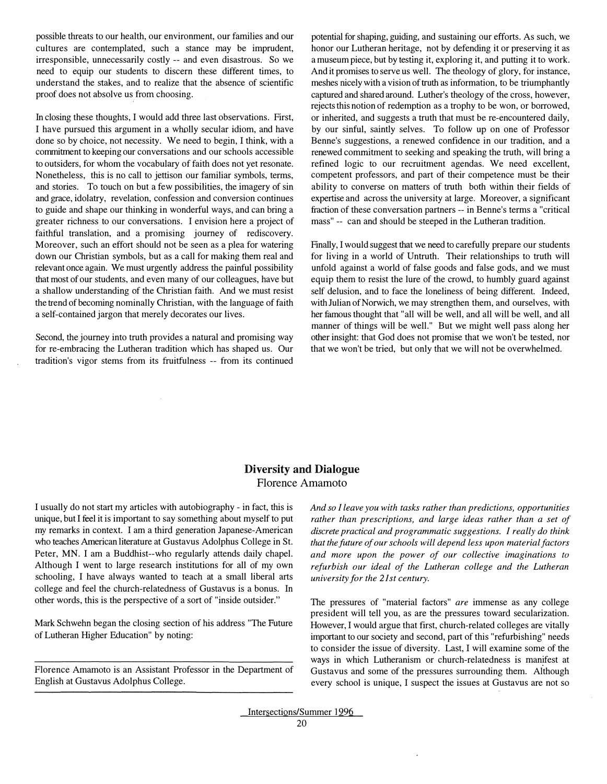possible threats to our health, our environment, our families and our cultures are contemplated, such a stance may be imprudent, irresponsible, unnecessarily costly -- and even disastrous. So we need to equip our students to discern these different times, to understand the stakes, and to realize that the absence of scientific proof does not absolve us from choosing.

In closing these thoughts, I would add three last observations. First, I have pursued this argument in a wholly secular idiom, and have done so by choice, not necessity. We need to begin, I think, with a commitment to keeping our conversations and our schools accessible to outsiders, for whom the vocabulary of faith does not yet resonate. Nonetheless, this is no call to jettison our familiar symbols, terms, and stories. To touch on but a few possibilities, the imagery of sin and grace, idolatry, revelation, confession and conversion continues to guide and shape our thinking in wonderful ways, and can bring a greater richness to our conversations. I envision here a project of faithful translation, and a promising journey of rediscovery. Moreover, such an effort should not be seen as a plea for watering down our Christian symbols, but as a call for making them real and relevant once again. We must urgently address the painful possibility that most of our students, and even many of our colleagues, have but a shallow understanding of the Christian faith. And we must resist the trend of becoming nominally Christian, with the language of faith a self-contained jargon that merely decorates our lives.

Second, the journey into truth provides a natural and promising way for re-embracing the Lutheran tradition which has shaped us. Our tradition's vigor stems from its fruitfulness -- from its continued potential for shaping, guiding, and sustaining our efforts. As such, we honor our Lutheran heritage, not by defending it or preserving it as a museum piece, but by testing it, exploring it, and putting it to work. And it promises to serve us well. The theology of glory, for instance, meshes nicely with a vision of truth as information, to be triumphantly captured and shared around. Luther's theology of the cross, however, rejects this notion of redemption as a trophy to be won, or borrowed, or inherited, and suggests a truth that must be re-encountered daily, by our sinful, saintly selves. To follow up on one of Professor Benne's suggestions, a renewed confidence in our tradition, and a renewed commitment to seeking and speaking the truth, will bring a refined logic to our recruitment agendas. We need excellent, competent professors, and part of their competence must be their ability to converse on matters of truth both within their fields of expertise and across the university at large. Moreover, a significant fraction of these conversation partners -- in Benne's terms a "critical mass" -- can and should be steeped in the Lutheran tradition.

Finally, I would suggest that we need to carefully prepare our students for living in a world of Untruth. Their relationships to truth will unfold against a world of false goods and false gods, and we must equip them to resist the lure of the crowd, to humbly guard against self delusion, and to face the loneliness of being different. Indeed, with Julian of Norwich, we may strengthen them, and ourselves, with her famous thought that "all will be well, and all will be well, and all manner of things will be well." But we might well pass along her other insight: that God does not promise that we won't be tested, nor that we won't be tried, but only that we will not be overwhelmed.

#### **Diversity and Dialogue**  Florence Amamoto

I usually do not start my articles with autobiography - in fact, this is unique, but I feel it is important to say something about myself to put my remarks in context. I am a third generation Japanese-American who teaches American literature at Gustavus Adolphus College in St. Peter, MN. I am a Buddhist--who regularly attends daily chapel. Although I went to large research institutions for all of my own schooling, I have always wanted to teach at a small liberal arts college and feel the church-relatedness of Gustavus is a bonus. In other words, this is the perspective of a sort of "inside outsider."

Mark Schwehn began the closing section of his address "The Future of Lutheran Higher Education" by noting:

Florence Amamoto is an Assistant Professor in the Department of English at Gustavus Adolphus College.

*And so I leave you with tasks rather than predictions, opportunities rather than prescriptions, and large ideas rather than a set of discrete practical and programmatic suggestions. I really do think that the future of our schools will depend less upon material factors and more upon the power of our collective imaginations to refurbish our ideal of the Lutheran college and the Lutheran university for the 21st century.* 

The pressures of "material factors" *are* immense as any college president will tell you, as are the pressures toward secularization. However, I would argue that first, church-related colleges are vitally important to our society and second, part of this "refurbishing" needs to consider the issue of diversity. Last, I will examine some of the ways in which Lutheranism or church-relatedness is man�fest at Gustavus and some of the pressures surrounding them. Although every school is unique, I suspect the issues at Gustavus are not so

Intersections/Summer 1996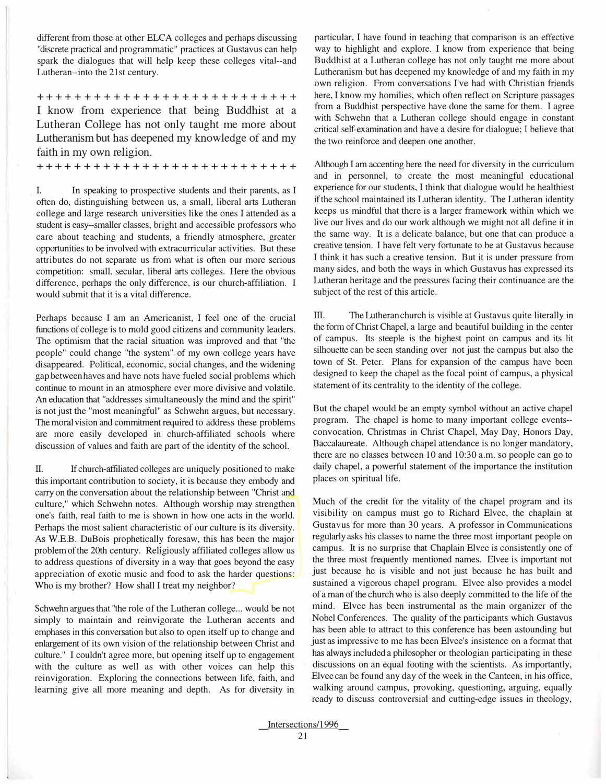different from those at other ELCA colleges and perhaps discussing "discrete practical and programmatic" practices at Gustavus can help spark the dialogues that will help keep these colleges vital--and Lutheran--into the 21st century.

+++++++++++++++++++++++++++ I know from experience that being Buddhist at a Lutheran College has not only taught me more about Lutheranism but has deepened my knowledge of and my faith in my own religion.

+++++++++++++++++++++++++++

I. In speaking to prospective students and their parents, as I often do, distinguishing between us, a small, liberal arts Lutheran college and large research universities like the ones I attended as a student is easy--smaller classes, bright and accessible professors who care about teaching and students, a friendly atmosphere, greater opportunities to be involved with extracurricular activities. But these attributes do not separate us from what is often our more serious competition: small, secular, liberal arts colleges. Here the obvious difference, perhaps the only difference, is our church-affiliation. I would submit that it is a vital difference.

Perhaps because I am an Americanist, I feel one of the crucial functions of college is to mold good citizens and community leaders. The optimism that the racial situation was improved and that "the people" could change "the system" of my own college years have disappeared. Political, economic, social changes, and the widening gap between haves and have nots have fueled social problems which continue to mount in an atmosphere ever more divisive and volatile. An education that "addresses simultaneously the mind and the spirit" is not just the "most meaningful" as Schwehn argues, but necessary. The moral vision and commitment required to address these problems are more easily developed in church-affiliated schools where discussion of values and faith are part of the identity of the school.

II. If church-affiliated colleges are uniquely positioned to make this important contribution to society, it is because they embody and carry on the conversation about the relationship between "Christ and culture," which Schwehn notes. Although worship may strengthen one's faith, real faith to me is shown in how one acts in the world. Perhaps the most salient characteristic of our culture is its diversity. As W.E.B. DuBois prophetically foresaw, this has been the major problem of the 20th century. Religiously affiliated colleges allow us to address questions of diversity in a way that goes beyond the easy appreciation of exotic music and food to ask the harder questions: Who is my brother? How shall I treat my neighbor?

Schwehn argues that "the role of the Lutheran college... would be not simply to maintain and reinvigorate the Lutheran accents and emphases in this conversation but also to open itself up to change and enlargement of its own vision of the relationship between Christ and culture." I couldn't agree more, but opening itself up to engagement with the culture as well as with other voices can help this reinvigoration. Exploring the connections between life, faith, and learning give all more meaning and depth. As for diversity in

L

particular, I have found in teaching that comparison is an effective way to highlight and explore. I know from experience that being Buddhist at a Lutheran college has not only taught me more about Lutheranism but has deepened my knowledge of and my faith in my own religion. From conversations I've had with Christian friends here, I know my homilies, which often reflect on Scripture passages from a Buddhist perspective have done the same for them. I agree with Schwehn that a Lutheran college should engage in constant critical self-examination and have a desire for dialogue; I believe that the two reinforce and deepen one another.

Although I am accenting here the need for diversity in the curriculum and in personnel, to create the most meaningful educational experience for our students, I think that dialogue would be healthiest if the school maintained its Lutheran identity. The Lutheran identity keeps us mindful that there is a larger framework within which we live our lives and do our work although we might not all define it in the same way. It is a delicate balance, but one that can produce a creative tension. I have felt very fortunate to be at Gustavus because I think it has such a creative tension. But it is under pressure from many sides, and both the ways in which Gustavus has expressed its Lutheran heritage and the pressures facing their continuance are the subject of the rest of this article.

III. The Lutheran church is visible at Gustavus quite literally in the form of Christ Chapel, a large and beautiful building in the center of campus. Its steeple is the highest point on campus and its lit silhouette can be seen standing over not just the campus but also the town of St. Peter. Plans for expansion of the campus have been designed to keep the chapel as the focal point of campus, a physical statement of its centrality to the identity of the college.

But the chapel would be an empty symbol without an active chapel program. The chapel is home to many important college events convocation, Christmas in Christ Chapel, May Day, Honors Day, Baccalaureate. Although chapel attendance is no longer mandatory, there are no classes between IO and 10:30 a.m. so people can go to daily chapel, a powerful statement of the importance the institution places on spiritual life.

Much of the credit for the vitality of the chapel program and its visibility on campus must go to Richard Elvee, the chaplain at Gustavus for more than 30 years. A professor in Communications regularly asks his classes to name the three most important people on campus. It is no surprise that Chaplain Elvee is consistently one of the three most frequently mentioned names. Elvee is important not just because he is visible and not just because he has built and sustained a vigorous chapel program. Elvee also provides a model of a man of the church who is also deeply committed to the life of the mind. Elvee has been instrumental as the main organizer of the Nobel Conferences. The quality of the participants which Gustavus has been able to attract to this conference has been astounding but just as impressive to me has been Elvee's insistence on a format that has always included a philosopher or theologian participating in these discussions on an equal footing with the scientists. As importantly, Elvee can be found any day of the week in the Canteen, in his office, walking around campus, provoking, questioning, arguing, equally ready to discuss controversial and cutting-edge issues in theology,